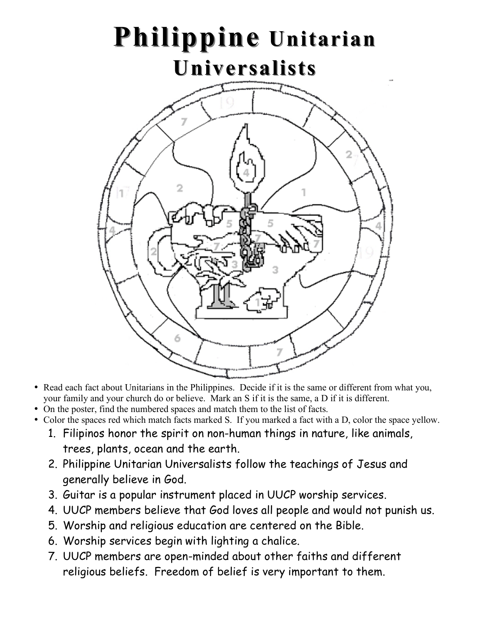

- Read each fact about Unitarians in the Philippines. Decide if it is the same or different from what you, your family and your church do or believe. Mark an S if it is the same, a D if it is different.
- On the poster, find the numbered spaces and match them to the list of facts.
- Color the spaces red which match facts marked S. If you marked a fact with a D, color the space yellow.
	- 1. Filipinos honor the spirit on non-human things in nature, like animals, trees, plants, ocean and the earth.
	- 2. Philippine Unitarian Universalists follow the teachings of Jesus and generally believe in God.
	- 3. Guitar is a popular instrument placed in UUCP worship services.
	- 4. UUCP members believe that God loves all people and would not punish us.
	- 5. Worship and religious education are centered on the Bible.
	- 6. Worship services begin with lighting a chalice.
	- 7. UUCP members are open-minded about other faiths and different religious beliefs. Freedom of belief is very important to them.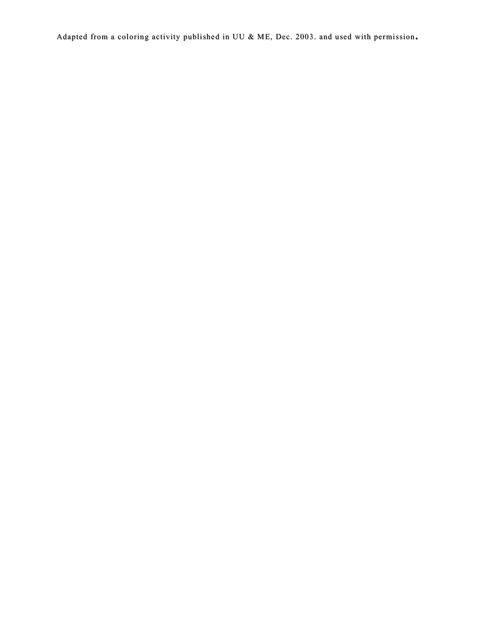Adapted from a coloring activity published in UU & ME, Dec. 2003. and used with permission**.**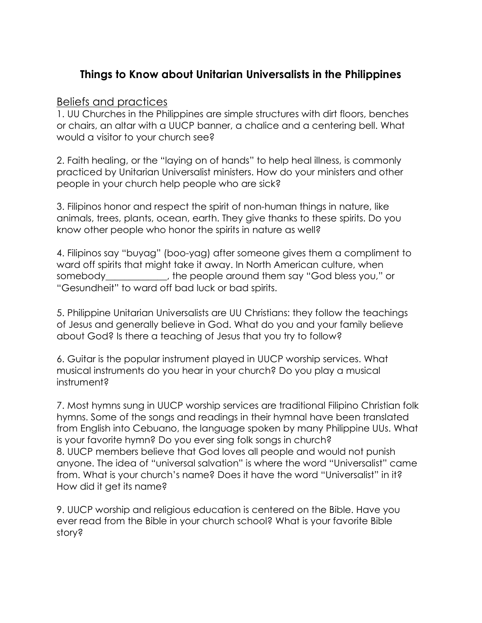## **Things to Know about Unitarian Universalists in the Philippines**

## Beliefs and practices

1. UU Churches in the Philippines are simple structures with dirt floors, benches or chairs, an altar with a UUCP banner, a chalice and a centering bell. What would a visitor to your church see?

2. Faith healing, or the "laying on of hands" to help heal illness, is commonly practiced by Unitarian Universalist ministers. How do your ministers and other people in your church help people who are sick?

3. Filipinos honor and respect the spirit of non-human things in nature, like animals, trees, plants, ocean, earth. They give thanks to these spirits. Do you know other people who honor the spirits in nature as well?

4. Filipinos say "buyag" (boo-yag) after someone gives them a compliment to ward off spirits that might take it away. In North American culture, when somebody\_\_\_\_\_\_\_\_\_\_\_\_\_, the people around them say "God bless you," or "Gesundheit" to ward off bad luck or bad spirits.

5. Philippine Unitarian Universalists are UU Christians: they follow the teachings of Jesus and generally believe in God. What do you and your family believe about God? Is there a teaching of Jesus that you try to follow?

6. Guitar is the popular instrument played in UUCP worship services. What musical instruments do you hear in your church? Do you play a musical instrument?

7. Most hymns sung in UUCP worship services are traditional Filipino Christian folk hymns. Some of the songs and readings in their hymnal have been translated from English into Cebuano, the language spoken by many Philippine UUs. What is your favorite hymn? Do you ever sing folk songs in church? 8. UUCP members believe that God loves all people and would not punish anyone. The idea of "universal salvation" is where the word "Universalist" came from. What is your church's name? Does it have the word "Universalist" in it? How did it get its name?

9. UUCP worship and religious education is centered on the Bible. Have you ever read from the Bible in your church school? What is your favorite Bible story?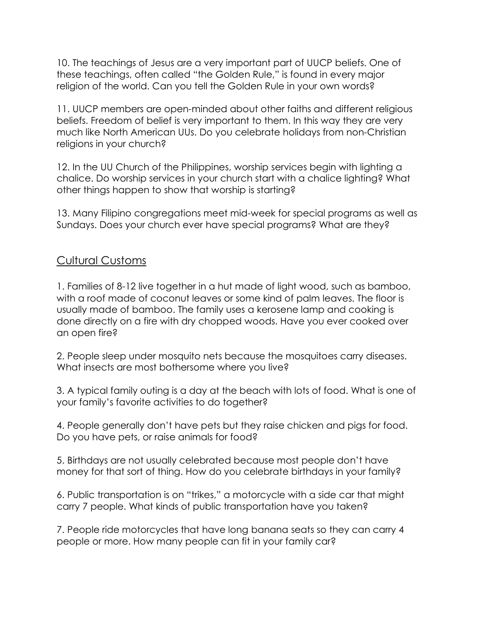10. The teachings of Jesus are a very important part of UUCP beliefs. One of these teachings, often called "the Golden Rule," is found in every major religion of the world. Can you tell the Golden Rule in your own words?

11. UUCP members are open-minded about other faiths and different religious beliefs. Freedom of belief is very important to them. In this way they are very much like North American UUs. Do you celebrate holidays from non-Christian religions in your church?

12. In the UU Church of the Philippines, worship services begin with lighting a chalice. Do worship services in your church start with a chalice lighting? What other things happen to show that worship is starting?

13. Many Filipino congregations meet mid-week for special programs as well as Sundays. Does your church ever have special programs? What are they?

## Cultural Customs

1. Families of 8-12 live together in a hut made of light wood, such as bamboo, with a roof made of coconut leaves or some kind of palm leaves. The floor is usually made of bamboo. The family uses a kerosene lamp and cooking is done directly on a fire with dry chopped woods. Have you ever cooked over an open fire?

2. People sleep under mosquito nets because the mosquitoes carry diseases. What insects are most bothersome where you live?

3. A typical family outing is a day at the beach with lots of food. What is one of your family's favorite activities to do together?

4. People generally don't have pets but they raise chicken and pigs for food. Do you have pets, or raise animals for food?

5. Birthdays are not usually celebrated because most people don't have money for that sort of thing. How do you celebrate birthdays in your family?

6. Public transportation is on "trikes," a motorcycle with a side car that might carry 7 people. What kinds of public transportation have you taken?

7. People ride motorcycles that have long banana seats so they can carry 4 people or more. How many people can fit in your family car?